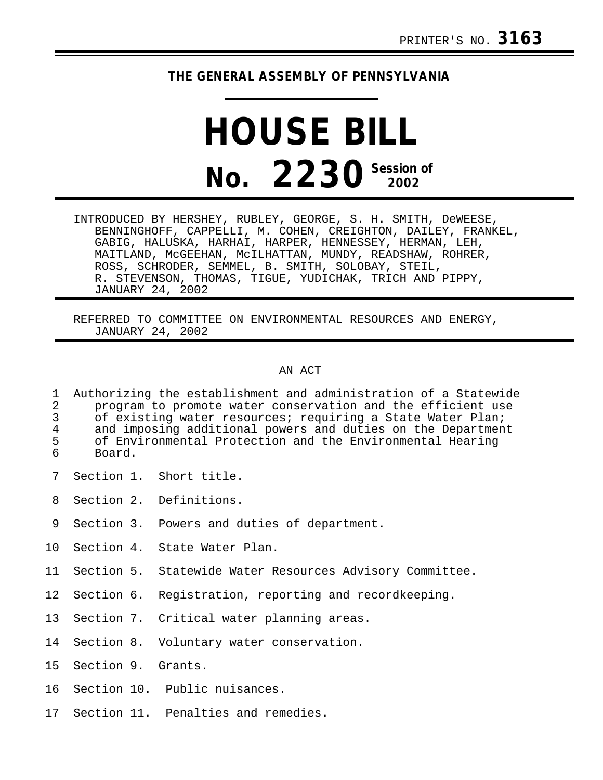## **THE GENERAL ASSEMBLY OF PENNSYLVANIA**

## **HOUSE BILL No. 2230 Session of**

INTRODUCED BY HERSHEY, RUBLEY, GEORGE, S. H. SMITH, DeWEESE, BENNINGHOFF, CAPPELLI, M. COHEN, CREIGHTON, DAILEY, FRANKEL, GABIG, HALUSKA, HARHAI, HARPER, HENNESSEY, HERMAN, LEH, MAITLAND, McGEEHAN, McILHATTAN, MUNDY, READSHAW, ROHRER, ROSS, SCHRODER, SEMMEL, B. SMITH, SOLOBAY, STEIL, R. STEVENSON, THOMAS, TIGUE, YUDICHAK, TRICH AND PIPPY, JANUARY 24, 2002

REFERRED TO COMMITTEE ON ENVIRONMENTAL RESOURCES AND ENERGY, JANUARY 24, 2002

## AN ACT

| 2<br>3 <sup>7</sup><br>4<br>5 <sup>7</sup><br>6 | 1 Authorizing the establishment and administration of a Statewide<br>program to promote water conservation and the efficient use<br>of existing water resources; requiring a State Water Plan;<br>and imposing additional powers and duties on the Department<br>of Environmental Protection and the Environmental Hearing<br>Board. |                           |
|-------------------------------------------------|--------------------------------------------------------------------------------------------------------------------------------------------------------------------------------------------------------------------------------------------------------------------------------------------------------------------------------------|---------------------------|
|                                                 |                                                                                                                                                                                                                                                                                                                                      | 7 Section 1. Short title. |
|                                                 |                                                                                                                                                                                                                                                                                                                                      | 8 Section 2. Definitions. |

- 9 Section 3. Powers and duties of department.
- 10 Section 4. State Water Plan.
- 11 Section 5. Statewide Water Resources Advisory Committee.
- 12 Section 6. Registration, reporting and recordkeeping.
- 13 Section 7. Critical water planning areas.
- 14 Section 8. Voluntary water conservation.
- 15 Section 9. Grants.
- 16 Section 10. Public nuisances.
- 17 Section 11. Penalties and remedies.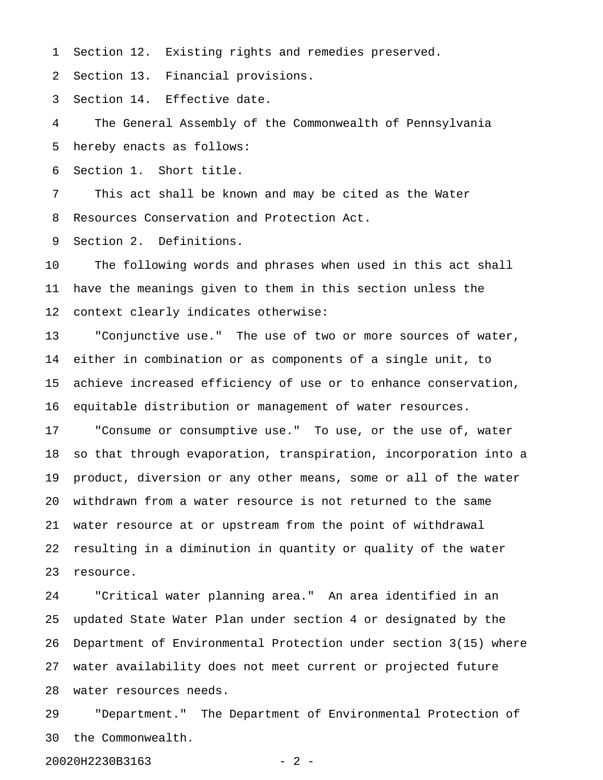1 Section 12. Existing rights and remedies preserved.

2 Section 13. Financial provisions.

3 Section 14. Effective date.

4 The General Assembly of the Commonwealth of Pennsylvania 5 hereby enacts as follows:

6 Section 1. Short title.

7 This act shall be known and may be cited as the Water 8 Resources Conservation and Protection Act.

9 Section 2. Definitions.

10 The following words and phrases when used in this act shall 11 have the meanings given to them in this section unless the 12 context clearly indicates otherwise:

13 "Conjunctive use." The use of two or more sources of water, 14 either in combination or as components of a single unit, to 15 achieve increased efficiency of use or to enhance conservation, 16 equitable distribution or management of water resources.

17 "Consume or consumptive use." To use, or the use of, water 18 so that through evaporation, transpiration, incorporation into a 19 product, diversion or any other means, some or all of the water 20 withdrawn from a water resource is not returned to the same 21 water resource at or upstream from the point of withdrawal 22 resulting in a diminution in quantity or quality of the water 23 resource.

24 "Critical water planning area." An area identified in an 25 updated State Water Plan under section 4 or designated by the 26 Department of Environmental Protection under section 3(15) where 27 water availability does not meet current or projected future 28 water resources needs.

29 "Department." The Department of Environmental Protection of 30 the Commonwealth.

20020H2230B3163 - 2 -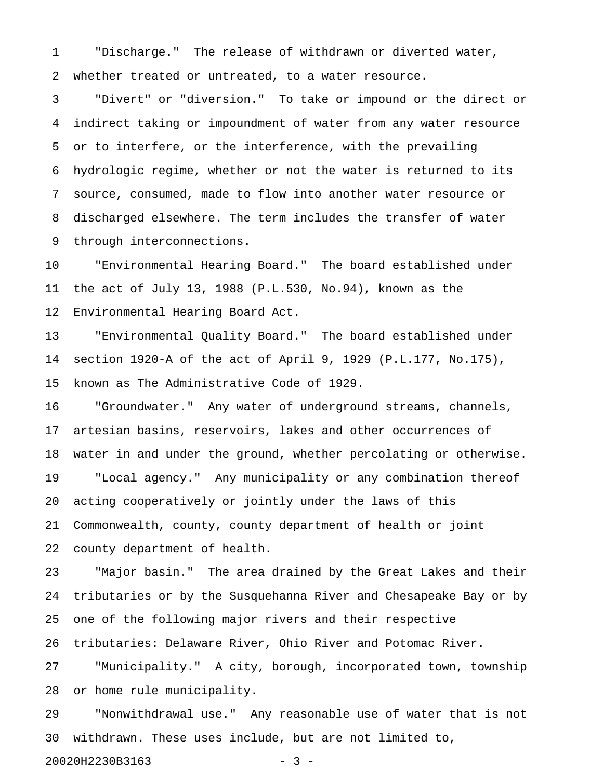1 "Discharge." The release of withdrawn or diverted water, 2 whether treated or untreated, to a water resource.

3 "Divert" or "diversion." To take or impound or the direct or 4 indirect taking or impoundment of water from any water resource 5 or to interfere, or the interference, with the prevailing 6 hydrologic regime, whether or not the water is returned to its 7 source, consumed, made to flow into another water resource or 8 discharged elsewhere. The term includes the transfer of water 9 through interconnections.

10 "Environmental Hearing Board." The board established under 11 the act of July 13, 1988 (P.L.530, No.94), known as the 12 Environmental Hearing Board Act.

13 "Environmental Quality Board." The board established under 14 section 1920-A of the act of April 9, 1929 (P.L.177, No.175), 15 known as The Administrative Code of 1929.

16 "Groundwater." Any water of underground streams, channels, 17 artesian basins, reservoirs, lakes and other occurrences of 18 water in and under the ground, whether percolating or otherwise. 19 "Local agency." Any municipality or any combination thereof 20 acting cooperatively or jointly under the laws of this 21 Commonwealth, county, county department of health or joint 22 county department of health.

23 "Major basin." The area drained by the Great Lakes and their 24 tributaries or by the Susquehanna River and Chesapeake Bay or by 25 one of the following major rivers and their respective

26 tributaries: Delaware River, Ohio River and Potomac River.

27 "Municipality." A city, borough, incorporated town, township 28 or home rule municipality.

29 "Nonwithdrawal use." Any reasonable use of water that is not 30 withdrawn. These uses include, but are not limited to,

20020H2230B3163 - 3 -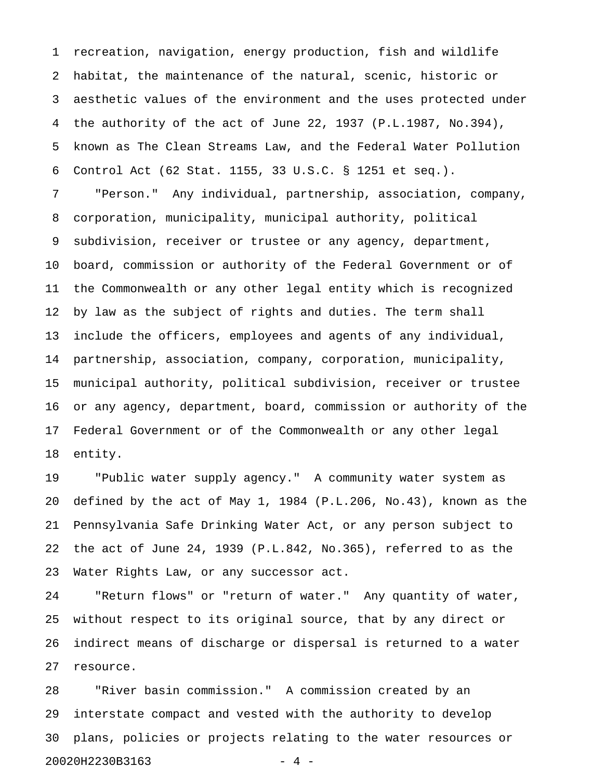1 recreation, navigation, energy production, fish and wildlife 2 habitat, the maintenance of the natural, scenic, historic or 3 aesthetic values of the environment and the uses protected under 4 the authority of the act of June 22, 1937 (P.L.1987, No.394), 5 known as The Clean Streams Law, and the Federal Water Pollution 6 Control Act (62 Stat. 1155, 33 U.S.C. § 1251 et seq.).

7 "Person." Any individual, partnership, association, company, 8 corporation, municipality, municipal authority, political 9 subdivision, receiver or trustee or any agency, department, 10 board, commission or authority of the Federal Government or of 11 the Commonwealth or any other legal entity which is recognized 12 by law as the subject of rights and duties. The term shall 13 include the officers, employees and agents of any individual, 14 partnership, association, company, corporation, municipality, 15 municipal authority, political subdivision, receiver or trustee 16 or any agency, department, board, commission or authority of the 17 Federal Government or of the Commonwealth or any other legal 18 entity.

19 "Public water supply agency." A community water system as 20 defined by the act of May 1, 1984 (P.L.206, No.43), known as the 21 Pennsylvania Safe Drinking Water Act, or any person subject to 22 the act of June 24, 1939 (P.L.842, No.365), referred to as the 23 Water Rights Law, or any successor act.

24 "Return flows" or "return of water." Any quantity of water, 25 without respect to its original source, that by any direct or 26 indirect means of discharge or dispersal is returned to a water 27 resource.

28 "River basin commission." A commission created by an 29 interstate compact and vested with the authority to develop 30 plans, policies or projects relating to the water resources or 20020H2230B3163 - 4 -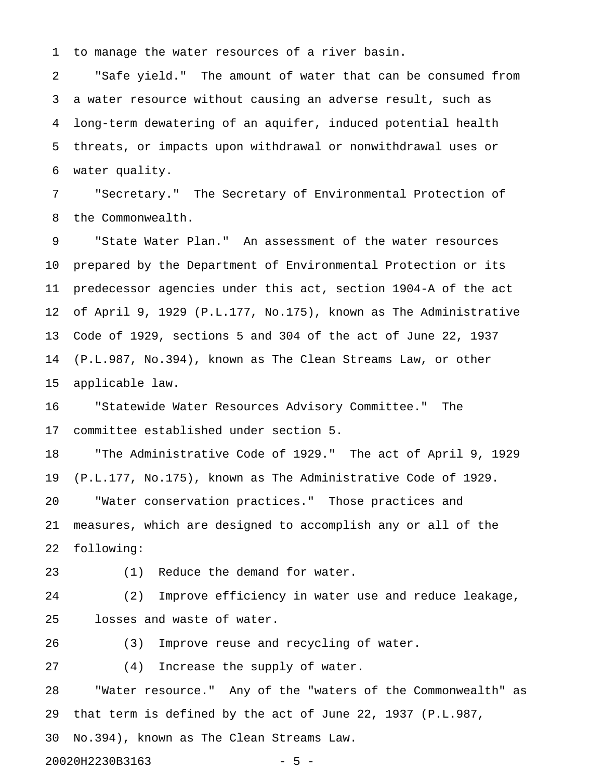1 to manage the water resources of a river basin.

2 "Safe yield." The amount of water that can be consumed from 3 a water resource without causing an adverse result, such as 4 long-term dewatering of an aquifer, induced potential health 5 threats, or impacts upon withdrawal or nonwithdrawal uses or 6 water quality.

7 "Secretary." The Secretary of Environmental Protection of 8 the Commonwealth.

9 "State Water Plan." An assessment of the water resources 10 prepared by the Department of Environmental Protection or its 11 predecessor agencies under this act, section 1904-A of the act 12 of April 9, 1929 (P.L.177, No.175), known as The Administrative 13 Code of 1929, sections 5 and 304 of the act of June 22, 1937 14 (P.L.987, No.394), known as The Clean Streams Law, or other 15 applicable law.

16 "Statewide Water Resources Advisory Committee." The 17 committee established under section 5.

18 "The Administrative Code of 1929." The act of April 9, 1929 19 (P.L.177, No.175), known as The Administrative Code of 1929. 20 "Water conservation practices." Those practices and 21 measures, which are designed to accomplish any or all of the

22 following:

23 (1) Reduce the demand for water.

24 (2) Improve efficiency in water use and reduce leakage, 25 losses and waste of water.

26 (3) Improve reuse and recycling of water.

27 (4) Increase the supply of water.

28 "Water resource." Any of the "waters of the Commonwealth" as 29 that term is defined by the act of June 22, 1937 (P.L.987,

30 No.394), known as The Clean Streams Law.

20020H2230B3163 - 5 -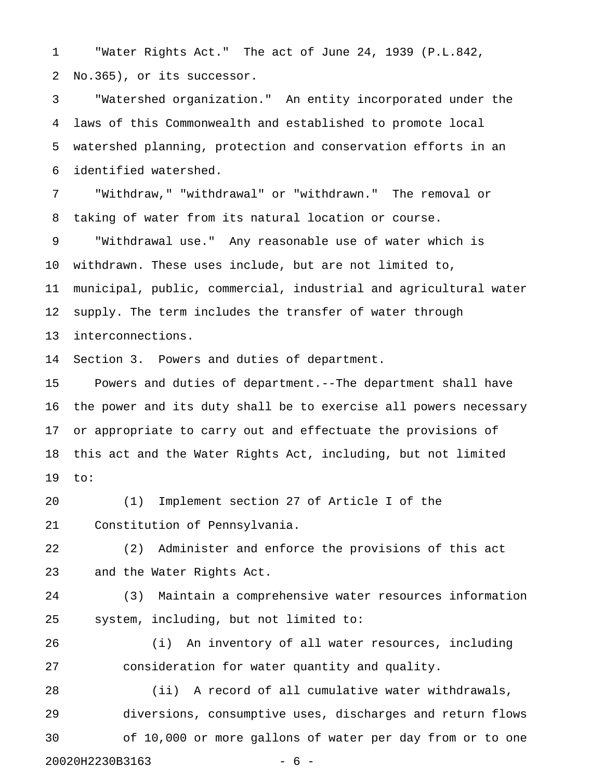1 "Water Rights Act." The act of June 24, 1939 (P.L.842, 2 No.365), or its successor.

3 "Watershed organization." An entity incorporated under the 4 laws of this Commonwealth and established to promote local 5 watershed planning, protection and conservation efforts in an 6 identified watershed.

7 "Withdraw," "withdrawal" or "withdrawn." The removal or 8 taking of water from its natural location or course.

9 "Withdrawal use." Any reasonable use of water which is 10 withdrawn. These uses include, but are not limited to, 11 municipal, public, commercial, industrial and agricultural water 12 supply. The term includes the transfer of water through 13 interconnections.

14 Section 3. Powers and duties of department.

15 Powers and duties of department.--The department shall have 16 the power and its duty shall be to exercise all powers necessary 17 or appropriate to carry out and effectuate the provisions of 18 this act and the Water Rights Act, including, but not limited 19 to:

20 (1) Implement section 27 of Article I of the 21 Constitution of Pennsylvania.

22 (2) Administer and enforce the provisions of this act 23 and the Water Rights Act.

24 (3) Maintain a comprehensive water resources information 25 system, including, but not limited to:

26 (i) An inventory of all water resources, including 27 consideration for water quantity and quality.

28 (ii) A record of all cumulative water withdrawals, 29 diversions, consumptive uses, discharges and return flows 30 of 10,000 or more gallons of water per day from or to one 20020H2230B3163 - 6 -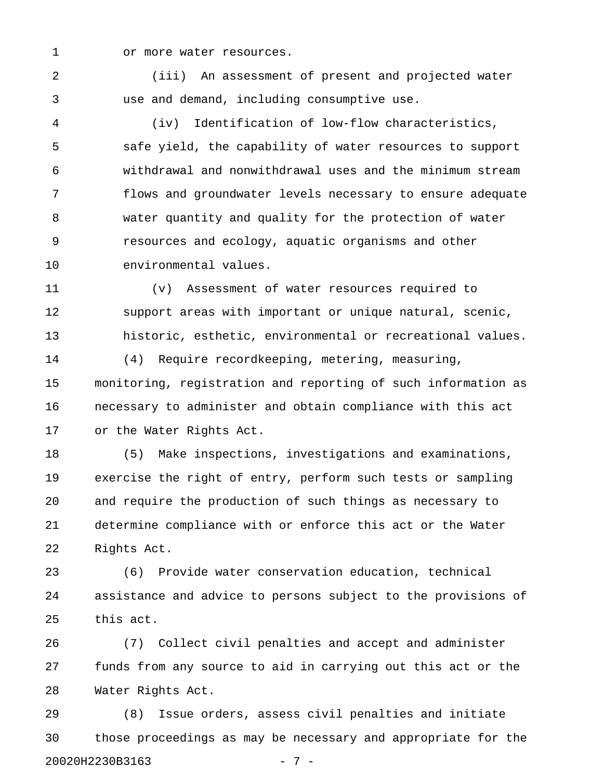1 or more water resources.

2 (iii) An assessment of present and projected water 3 use and demand, including consumptive use.

4 (iv) Identification of low-flow characteristics, 5 safe yield, the capability of water resources to support 6 withdrawal and nonwithdrawal uses and the minimum stream 7 flows and groundwater levels necessary to ensure adequate 8 water quantity and quality for the protection of water 9 resources and ecology, aquatic organisms and other 10 environmental values.

11 (v) Assessment of water resources required to 12 support areas with important or unique natural, scenic, 13 historic, esthetic, environmental or recreational values.

14 (4) Require recordkeeping, metering, measuring, 15 monitoring, registration and reporting of such information as 16 necessary to administer and obtain compliance with this act 17 or the Water Rights Act.

18 (5) Make inspections, investigations and examinations, 19 exercise the right of entry, perform such tests or sampling 20 and require the production of such things as necessary to 21 determine compliance with or enforce this act or the Water 22 Rights Act.

23 (6) Provide water conservation education, technical 24 assistance and advice to persons subject to the provisions of 25 this act.

26 (7) Collect civil penalties and accept and administer 27 funds from any source to aid in carrying out this act or the 28 Water Rights Act.

29 (8) Issue orders, assess civil penalties and initiate 30 those proceedings as may be necessary and appropriate for the 20020H2230B3163 - 7 -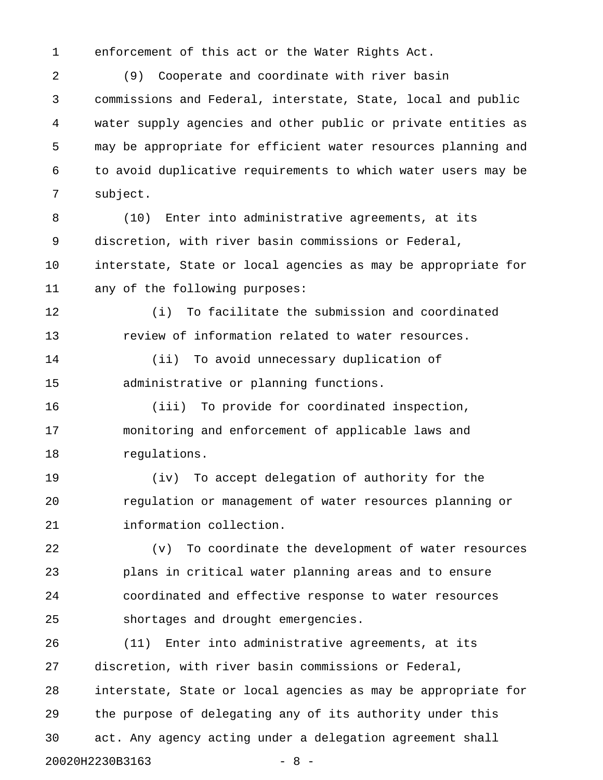1 enforcement of this act or the Water Rights Act.

2 (9) Cooperate and coordinate with river basin 3 commissions and Federal, interstate, State, local and public 4 water supply agencies and other public or private entities as 5 may be appropriate for efficient water resources planning and 6 to avoid duplicative requirements to which water users may be 7 subject.

8 (10) Enter into administrative agreements, at its 9 discretion, with river basin commissions or Federal, 10 interstate, State or local agencies as may be appropriate for 11 any of the following purposes:

12 (i) To facilitate the submission and coordinated 13 review of information related to water resources.

14 (ii) To avoid unnecessary duplication of 15 administrative or planning functions.

16 (iii) To provide for coordinated inspection, 17 monitoring and enforcement of applicable laws and 18 regulations.

19 (iv) To accept delegation of authority for the 20 regulation or management of water resources planning or 21 information collection.

22 (v) To coordinate the development of water resources 23 plans in critical water planning areas and to ensure 24 coordinated and effective response to water resources 25 shortages and drought emergencies.

26 (11) Enter into administrative agreements, at its 27 discretion, with river basin commissions or Federal, 28 interstate, State or local agencies as may be appropriate for 29 the purpose of delegating any of its authority under this 30 act. Any agency acting under a delegation agreement shall 20020H2230B3163 - 8 -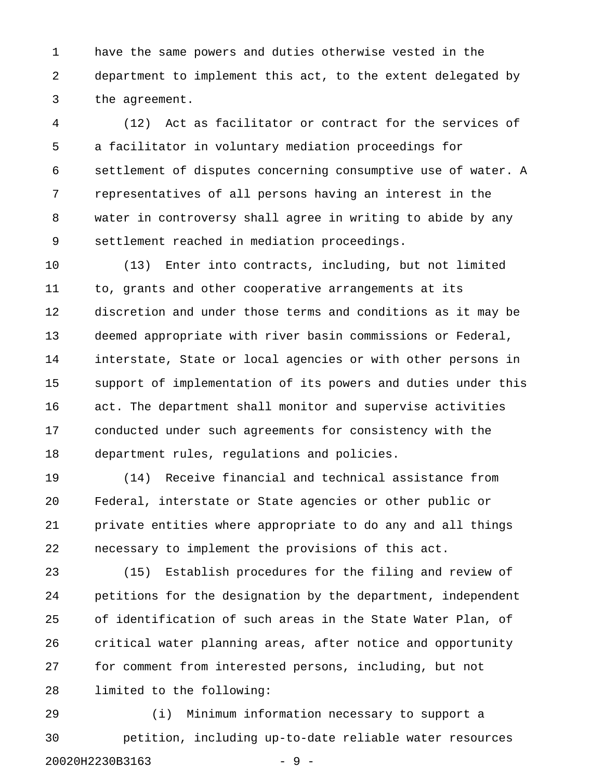1 have the same powers and duties otherwise vested in the 2 department to implement this act, to the extent delegated by 3 the agreement.

4 (12) Act as facilitator or contract for the services of 5 a facilitator in voluntary mediation proceedings for 6 settlement of disputes concerning consumptive use of water. A 7 representatives of all persons having an interest in the 8 water in controversy shall agree in writing to abide by any 9 settlement reached in mediation proceedings.

10 (13) Enter into contracts, including, but not limited 11 to, grants and other cooperative arrangements at its 12 discretion and under those terms and conditions as it may be 13 deemed appropriate with river basin commissions or Federal, 14 interstate, State or local agencies or with other persons in 15 support of implementation of its powers and duties under this 16 act. The department shall monitor and supervise activities 17 conducted under such agreements for consistency with the 18 department rules, regulations and policies.

19 (14) Receive financial and technical assistance from 20 Federal, interstate or State agencies or other public or 21 private entities where appropriate to do any and all things 22 necessary to implement the provisions of this act.

23 (15) Establish procedures for the filing and review of 24 petitions for the designation by the department, independent 25 of identification of such areas in the State Water Plan, of 26 critical water planning areas, after notice and opportunity 27 for comment from interested persons, including, but not 28 limited to the following:

29 (i) Minimum information necessary to support a 30 petition, including up-to-date reliable water resources 20020H2230B3163 - 9 -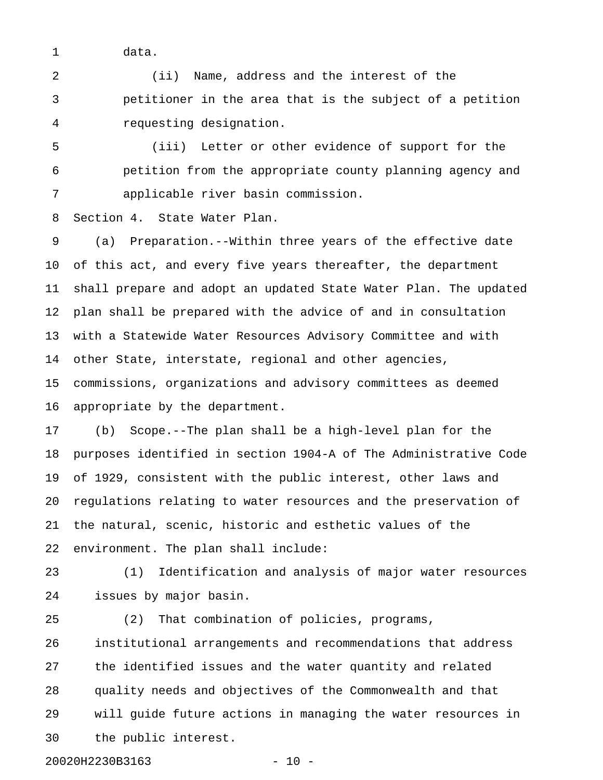1 data.

2 (ii) Name, address and the interest of the 3 petitioner in the area that is the subject of a petition 4 requesting designation.

5 (iii) Letter or other evidence of support for the 6 petition from the appropriate county planning agency and 7 applicable river basin commission.

8 Section 4. State Water Plan.

9 (a) Preparation.--Within three years of the effective date 10 of this act, and every five years thereafter, the department 11 shall prepare and adopt an updated State Water Plan. The updated 12 plan shall be prepared with the advice of and in consultation 13 with a Statewide Water Resources Advisory Committee and with 14 other State, interstate, regional and other agencies, 15 commissions, organizations and advisory committees as deemed 16 appropriate by the department.

17 (b) Scope.--The plan shall be a high-level plan for the 18 purposes identified in section 1904-A of The Administrative Code 19 of 1929, consistent with the public interest, other laws and 20 regulations relating to water resources and the preservation of 21 the natural, scenic, historic and esthetic values of the 22 environment. The plan shall include:

23 (1) Identification and analysis of major water resources 24 issues by major basin.

25 (2) That combination of policies, programs, 26 institutional arrangements and recommendations that address 27 the identified issues and the water quantity and related 28 quality needs and objectives of the Commonwealth and that 29 will guide future actions in managing the water resources in 30 the public interest.

20020H2230B3163 - 10 -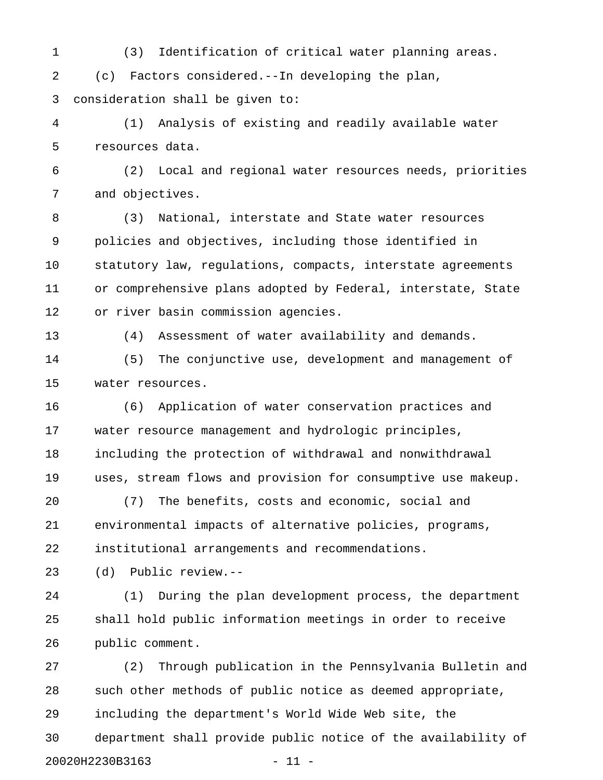1 (3) Identification of critical water planning areas. 2 (c) Factors considered.--In developing the plan, 3 consideration shall be given to:

4 (1) Analysis of existing and readily available water 5 resources data.

6 (2) Local and regional water resources needs, priorities 7 and objectives.

8 (3) National, interstate and State water resources 9 policies and objectives, including those identified in 10 statutory law, regulations, compacts, interstate agreements 11 or comprehensive plans adopted by Federal, interstate, State 12 or river basin commission agencies.

13 (4) Assessment of water availability and demands.

14 (5) The conjunctive use, development and management of 15 water resources.

16 (6) Application of water conservation practices and 17 water resource management and hydrologic principles, 18 including the protection of withdrawal and nonwithdrawal 19 uses, stream flows and provision for consumptive use makeup.

20 (7) The benefits, costs and economic, social and 21 environmental impacts of alternative policies, programs, 22 institutional arrangements and recommendations.

23 (d) Public review.--

24 (1) During the plan development process, the department 25 shall hold public information meetings in order to receive 26 public comment.

27 (2) Through publication in the Pennsylvania Bulletin and 28 such other methods of public notice as deemed appropriate, 29 including the department's World Wide Web site, the 30 department shall provide public notice of the availability of 20020H2230B3163 - 11 -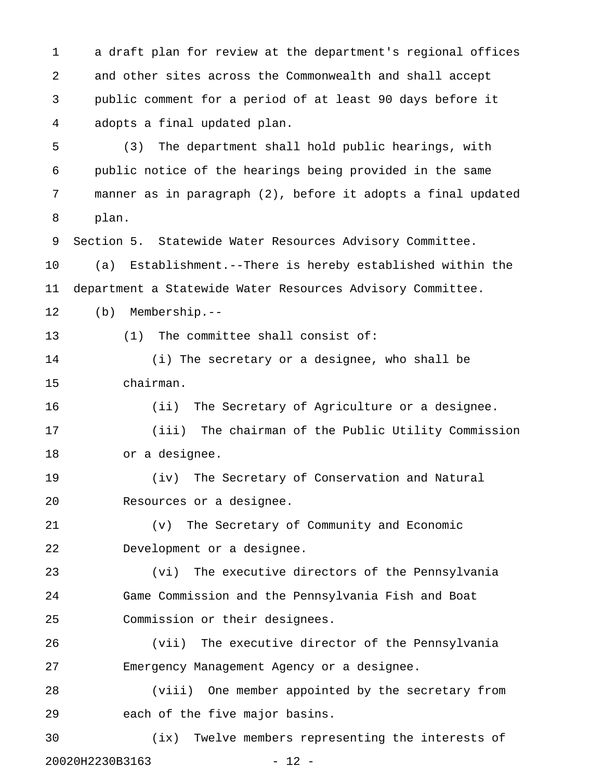1 a draft plan for review at the department's regional offices 2 and other sites across the Commonwealth and shall accept 3 public comment for a period of at least 90 days before it 4 adopts a final updated plan.

5 (3) The department shall hold public hearings, with 6 public notice of the hearings being provided in the same 7 manner as in paragraph (2), before it adopts a final updated 8 plan.

9 Section 5. Statewide Water Resources Advisory Committee.

10 (a) Establishment.--There is hereby established within the 11 department a Statewide Water Resources Advisory Committee.

12 (b) Membership.--

13 (1) The committee shall consist of:

14 (i) The secretary or a designee, who shall be 15 chairman.

16 (ii) The Secretary of Agriculture or a designee. 17 (iii) The chairman of the Public Utility Commission

18 or a designee.

19 (iv) The Secretary of Conservation and Natural 20 Resources or a designee.

21 (v) The Secretary of Community and Economic 22 Development or a designee.

23 (vi) The executive directors of the Pennsylvania 24 Game Commission and the Pennsylvania Fish and Boat 25 Commission or their designees.

26 (vii) The executive director of the Pennsylvania 27 Emergency Management Agency or a designee.

28 (viii) One member appointed by the secretary from 29 each of the five major basins.

30 (ix) Twelve members representing the interests of 20020H2230B3163 - 12 -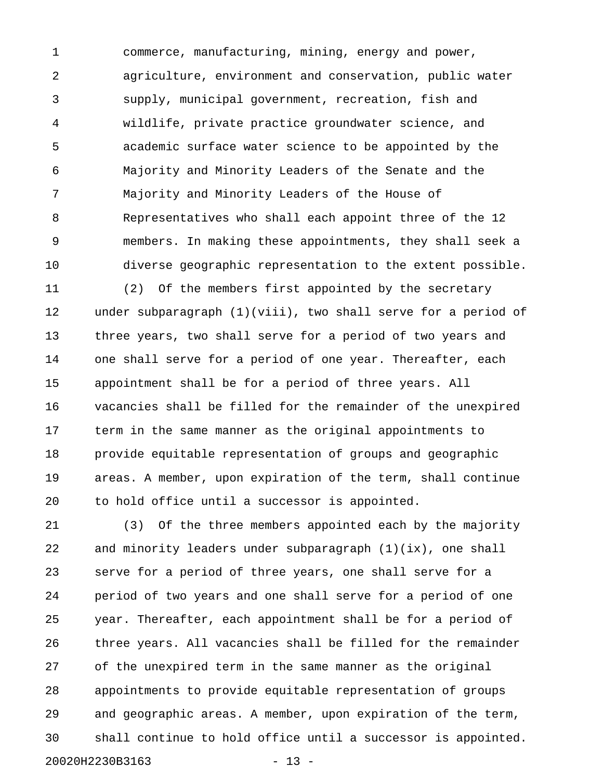1 commerce, manufacturing, mining, energy and power, 2 agriculture, environment and conservation, public water 3 supply, municipal government, recreation, fish and 4 wildlife, private practice groundwater science, and 5 academic surface water science to be appointed by the 6 Majority and Minority Leaders of the Senate and the 7 Majority and Minority Leaders of the House of 8 Representatives who shall each appoint three of the 12 9 members. In making these appointments, they shall seek a 10 diverse geographic representation to the extent possible.

11 (2) Of the members first appointed by the secretary 12 under subparagraph (1)(viii), two shall serve for a period of 13 three years, two shall serve for a period of two years and 14 one shall serve for a period of one year. Thereafter, each 15 appointment shall be for a period of three years. All 16 vacancies shall be filled for the remainder of the unexpired 17 term in the same manner as the original appointments to 18 provide equitable representation of groups and geographic 19 areas. A member, upon expiration of the term, shall continue 20 to hold office until a successor is appointed.

21 (3) Of the three members appointed each by the majority 22 and minority leaders under subparagraph (1)(ix), one shall 23 serve for a period of three years, one shall serve for a 24 period of two years and one shall serve for a period of one 25 year. Thereafter, each appointment shall be for a period of 26 three years. All vacancies shall be filled for the remainder 27 of the unexpired term in the same manner as the original 28 appointments to provide equitable representation of groups 29 and geographic areas. A member, upon expiration of the term, 30 shall continue to hold office until a successor is appointed. 20020H2230B3163 - 13 -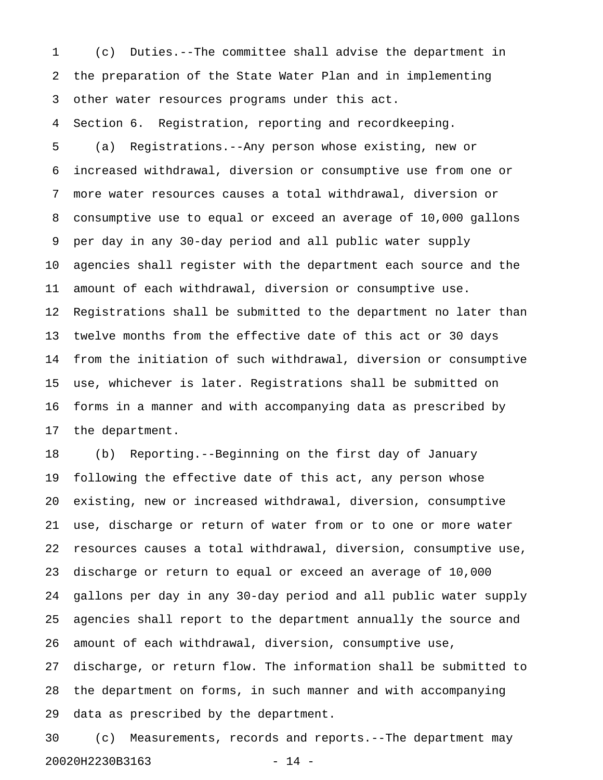1 (c) Duties.--The committee shall advise the department in 2 the preparation of the State Water Plan and in implementing 3 other water resources programs under this act.

4 Section 6. Registration, reporting and recordkeeping.

5 (a) Registrations.--Any person whose existing, new or 6 increased withdrawal, diversion or consumptive use from one or 7 more water resources causes a total withdrawal, diversion or 8 consumptive use to equal or exceed an average of 10,000 gallons 9 per day in any 30-day period and all public water supply 10 agencies shall register with the department each source and the 11 amount of each withdrawal, diversion or consumptive use. 12 Registrations shall be submitted to the department no later than 13 twelve months from the effective date of this act or 30 days 14 from the initiation of such withdrawal, diversion or consumptive 15 use, whichever is later. Registrations shall be submitted on 16 forms in a manner and with accompanying data as prescribed by 17 the department.

18 (b) Reporting.--Beginning on the first day of January 19 following the effective date of this act, any person whose 20 existing, new or increased withdrawal, diversion, consumptive 21 use, discharge or return of water from or to one or more water 22 resources causes a total withdrawal, diversion, consumptive use, 23 discharge or return to equal or exceed an average of 10,000 24 gallons per day in any 30-day period and all public water supply 25 agencies shall report to the department annually the source and 26 amount of each withdrawal, diversion, consumptive use, 27 discharge, or return flow. The information shall be submitted to 28 the department on forms, in such manner and with accompanying 29 data as prescribed by the department.

30 (c) Measurements, records and reports.--The department may 20020H2230B3163 - 14 -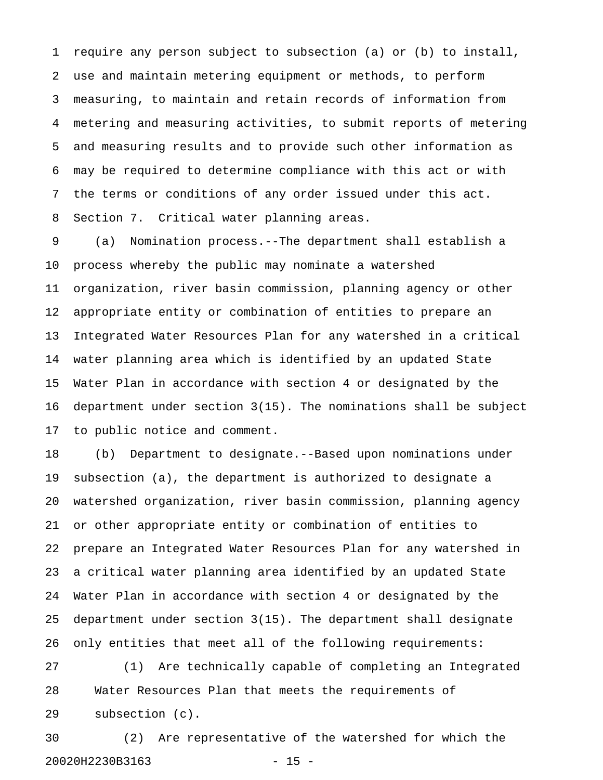1 require any person subject to subsection (a) or (b) to install, 2 use and maintain metering equipment or methods, to perform 3 measuring, to maintain and retain records of information from 4 metering and measuring activities, to submit reports of metering 5 and measuring results and to provide such other information as 6 may be required to determine compliance with this act or with 7 the terms or conditions of any order issued under this act. 8 Section 7. Critical water planning areas.

9 (a) Nomination process.--The department shall establish a 10 process whereby the public may nominate a watershed 11 organization, river basin commission, planning agency or other 12 appropriate entity or combination of entities to prepare an 13 Integrated Water Resources Plan for any watershed in a critical 14 water planning area which is identified by an updated State 15 Water Plan in accordance with section 4 or designated by the 16 department under section 3(15). The nominations shall be subject 17 to public notice and comment.

18 (b) Department to designate.--Based upon nominations under 19 subsection (a), the department is authorized to designate a 20 watershed organization, river basin commission, planning agency 21 or other appropriate entity or combination of entities to 22 prepare an Integrated Water Resources Plan for any watershed in 23 a critical water planning area identified by an updated State 24 Water Plan in accordance with section 4 or designated by the 25 department under section 3(15). The department shall designate 26 only entities that meet all of the following requirements:

27 (1) Are technically capable of completing an Integrated 28 Water Resources Plan that meets the requirements of 29 subsection (c).

30 (2) Are representative of the watershed for which the 20020H2230B3163 - 15 -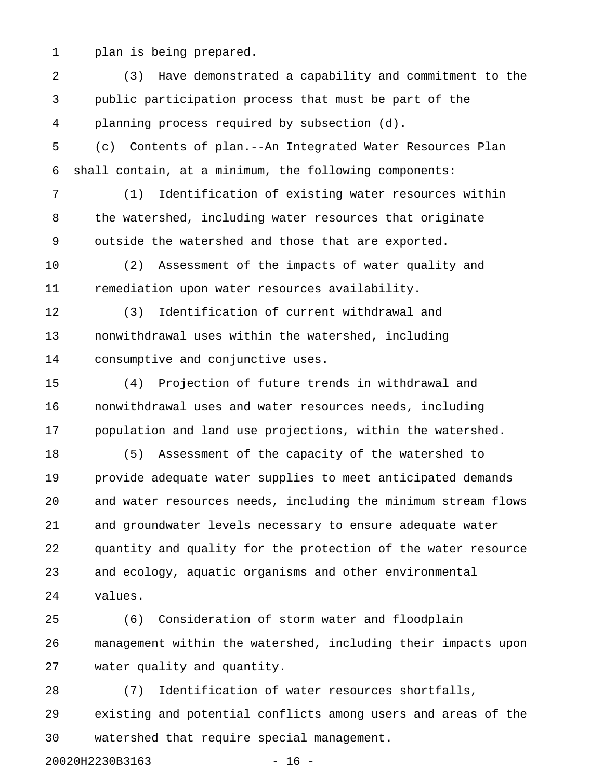1 plan is being prepared.

2 (3) Have demonstrated a capability and commitment to the 3 public participation process that must be part of the 4 planning process required by subsection (d). 5 (c) Contents of plan.--An Integrated Water Resources Plan 6 shall contain, at a minimum, the following components: 7 (1) Identification of existing water resources within 8 the watershed, including water resources that originate 9 outside the watershed and those that are exported. 10 (2) Assessment of the impacts of water quality and 11 remediation upon water resources availability. 12 (3) Identification of current withdrawal and 13 nonwithdrawal uses within the watershed, including 14 consumptive and conjunctive uses. 15 (4) Projection of future trends in withdrawal and 16 nonwithdrawal uses and water resources needs, including 17 population and land use projections, within the watershed. 18 (5) Assessment of the capacity of the watershed to 19 provide adequate water supplies to meet anticipated demands 20 and water resources needs, including the minimum stream flows 21 and groundwater levels necessary to ensure adequate water 22 quantity and quality for the protection of the water resource 23 and ecology, aquatic organisms and other environmental 24 values. 25 (6) Consideration of storm water and floodplain 26 management within the watershed, including their impacts upon 27 water quality and quantity.

28 (7) Identification of water resources shortfalls, 29 existing and potential conflicts among users and areas of the 30 watershed that require special management.

20020H2230B3163 - 16 -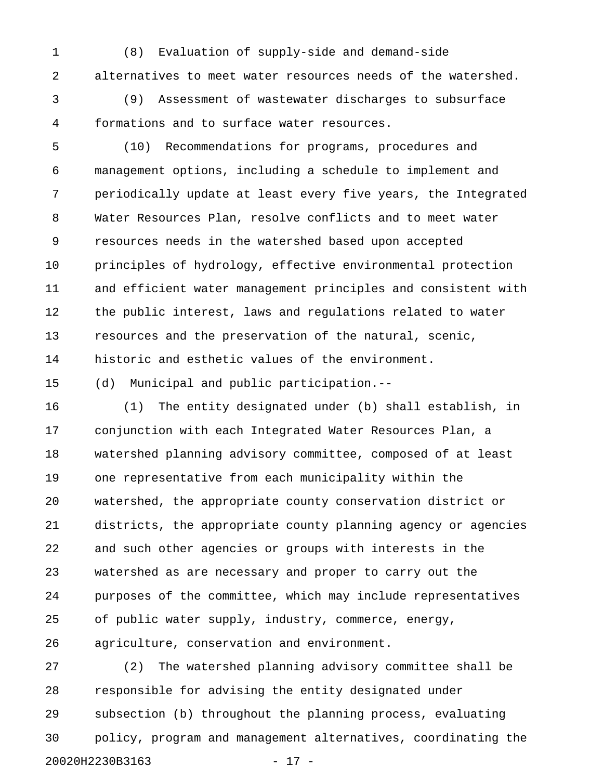1 (8) Evaluation of supply-side and demand-side 2 alternatives to meet water resources needs of the watershed.

3 (9) Assessment of wastewater discharges to subsurface 4 formations and to surface water resources.

5 (10) Recommendations for programs, procedures and 6 management options, including a schedule to implement and 7 periodically update at least every five years, the Integrated 8 Water Resources Plan, resolve conflicts and to meet water 9 resources needs in the watershed based upon accepted 10 principles of hydrology, effective environmental protection 11 and efficient water management principles and consistent with 12 the public interest, laws and regulations related to water 13 resources and the preservation of the natural, scenic, 14 historic and esthetic values of the environment.

15 (d) Municipal and public participation.--

16 (1) The entity designated under (b) shall establish, in 17 conjunction with each Integrated Water Resources Plan, a 18 watershed planning advisory committee, composed of at least 19 one representative from each municipality within the 20 watershed, the appropriate county conservation district or 21 districts, the appropriate county planning agency or agencies 22 and such other agencies or groups with interests in the 23 watershed as are necessary and proper to carry out the 24 purposes of the committee, which may include representatives 25 of public water supply, industry, commerce, energy, 26 agriculture, conservation and environment.

27 (2) The watershed planning advisory committee shall be 28 responsible for advising the entity designated under 29 subsection (b) throughout the planning process, evaluating 30 policy, program and management alternatives, coordinating the 20020H2230B3163 - 17 -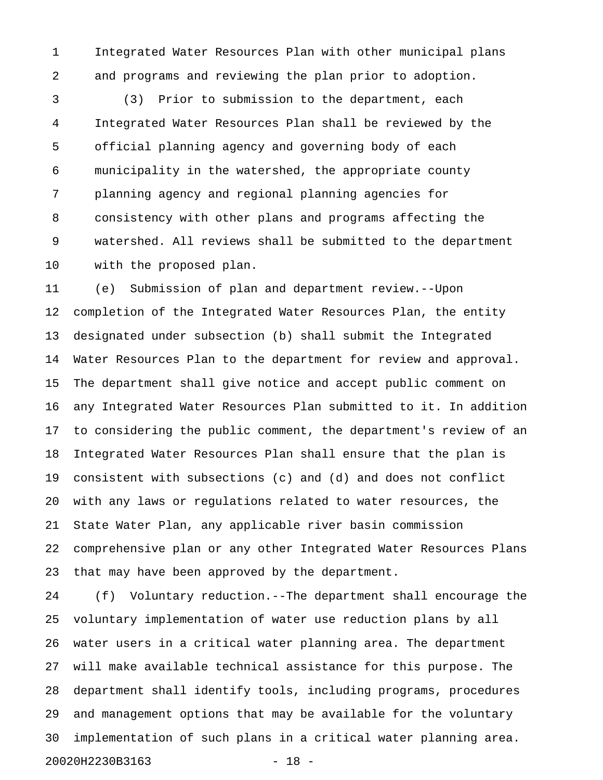1 Integrated Water Resources Plan with other municipal plans 2 and programs and reviewing the plan prior to adoption.

3 (3) Prior to submission to the department, each 4 Integrated Water Resources Plan shall be reviewed by the 5 official planning agency and governing body of each 6 municipality in the watershed, the appropriate county 7 planning agency and regional planning agencies for 8 consistency with other plans and programs affecting the 9 watershed. All reviews shall be submitted to the department 10 with the proposed plan.

11 (e) Submission of plan and department review.--Upon 12 completion of the Integrated Water Resources Plan, the entity 13 designated under subsection (b) shall submit the Integrated 14 Water Resources Plan to the department for review and approval. 15 The department shall give notice and accept public comment on 16 any Integrated Water Resources Plan submitted to it. In addition 17 to considering the public comment, the department's review of an 18 Integrated Water Resources Plan shall ensure that the plan is 19 consistent with subsections (c) and (d) and does not conflict 20 with any laws or regulations related to water resources, the 21 State Water Plan, any applicable river basin commission 22 comprehensive plan or any other Integrated Water Resources Plans 23 that may have been approved by the department.

24 (f) Voluntary reduction.--The department shall encourage the 25 voluntary implementation of water use reduction plans by all 26 water users in a critical water planning area. The department 27 will make available technical assistance for this purpose. The 28 department shall identify tools, including programs, procedures 29 and management options that may be available for the voluntary 30 implementation of such plans in a critical water planning area. 20020H2230B3163 - 18 -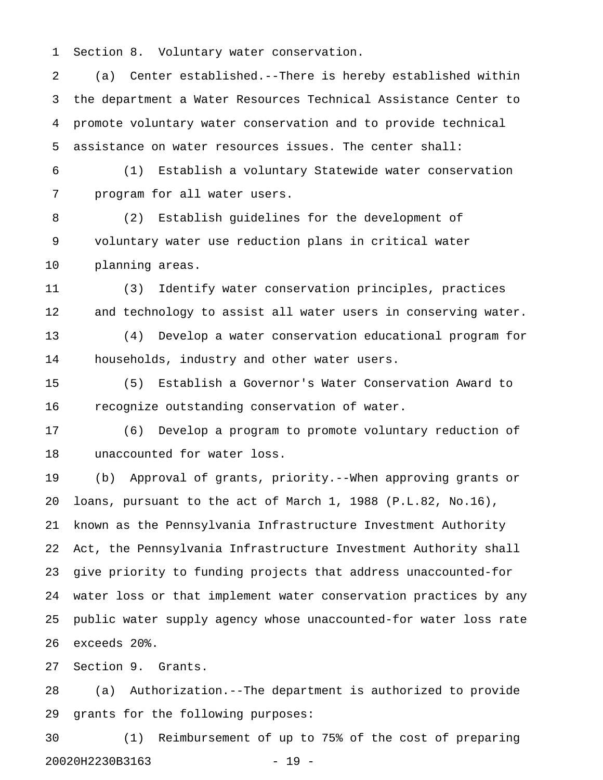1 Section 8. Voluntary water conservation.

2 (a) Center established.--There is hereby established within 3 the department a Water Resources Technical Assistance Center to 4 promote voluntary water conservation and to provide technical 5 assistance on water resources issues. The center shall:

6 (1) Establish a voluntary Statewide water conservation 7 program for all water users.

8 (2) Establish guidelines for the development of 9 voluntary water use reduction plans in critical water 10 planning areas.

11 (3) Identify water conservation principles, practices 12 and technology to assist all water users in conserving water.

13 (4) Develop a water conservation educational program for 14 households, industry and other water users.

15 (5) Establish a Governor's Water Conservation Award to 16 recognize outstanding conservation of water.

17 (6) Develop a program to promote voluntary reduction of 18 unaccounted for water loss.

19 (b) Approval of grants, priority.--When approving grants or 20 loans, pursuant to the act of March 1, 1988 (P.L.82, No.16), 21 known as the Pennsylvania Infrastructure Investment Authority 22 Act, the Pennsylvania Infrastructure Investment Authority shall 23 give priority to funding projects that address unaccounted-for 24 water loss or that implement water conservation practices by any 25 public water supply agency whose unaccounted-for water loss rate 26 exceeds 20%.

27 Section 9. Grants.

28 (a) Authorization.--The department is authorized to provide 29 grants for the following purposes:

30 (1) Reimbursement of up to 75% of the cost of preparing 20020H2230B3163 - 19 -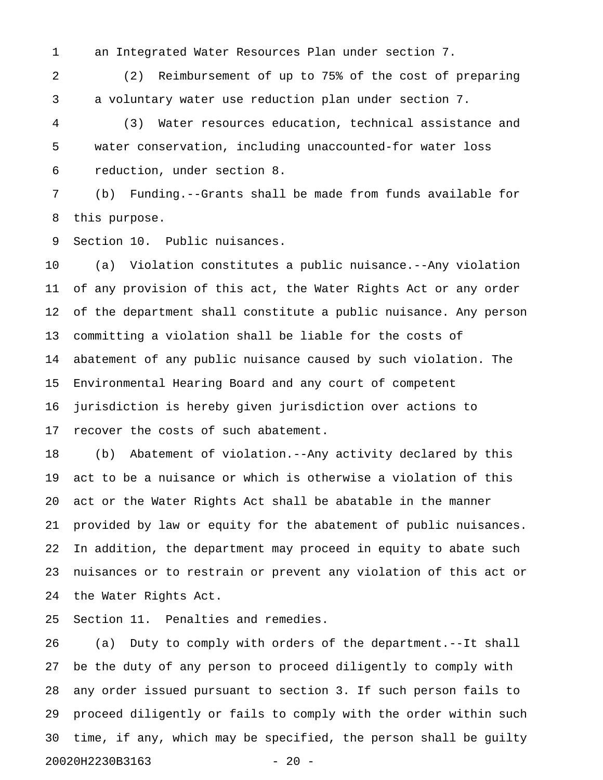1 an Integrated Water Resources Plan under section 7.

2 (2) Reimbursement of up to 75% of the cost of preparing 3 a voluntary water use reduction plan under section 7.

4 (3) Water resources education, technical assistance and 5 water conservation, including unaccounted-for water loss 6 reduction, under section 8.

7 (b) Funding.--Grants shall be made from funds available for 8 this purpose.

9 Section 10. Public nuisances.

10 (a) Violation constitutes a public nuisance.--Any violation 11 of any provision of this act, the Water Rights Act or any order 12 of the department shall constitute a public nuisance. Any person 13 committing a violation shall be liable for the costs of 14 abatement of any public nuisance caused by such violation. The 15 Environmental Hearing Board and any court of competent 16 jurisdiction is hereby given jurisdiction over actions to 17 recover the costs of such abatement.

18 (b) Abatement of violation.--Any activity declared by this 19 act to be a nuisance or which is otherwise a violation of this 20 act or the Water Rights Act shall be abatable in the manner 21 provided by law or equity for the abatement of public nuisances. 22 In addition, the department may proceed in equity to abate such 23 nuisances or to restrain or prevent any violation of this act or 24 the Water Rights Act.

25 Section 11. Penalties and remedies.

26 (a) Duty to comply with orders of the department.--It shall 27 be the duty of any person to proceed diligently to comply with 28 any order issued pursuant to section 3. If such person fails to 29 proceed diligently or fails to comply with the order within such 30 time, if any, which may be specified, the person shall be guilty 20020H2230B3163 - 20 -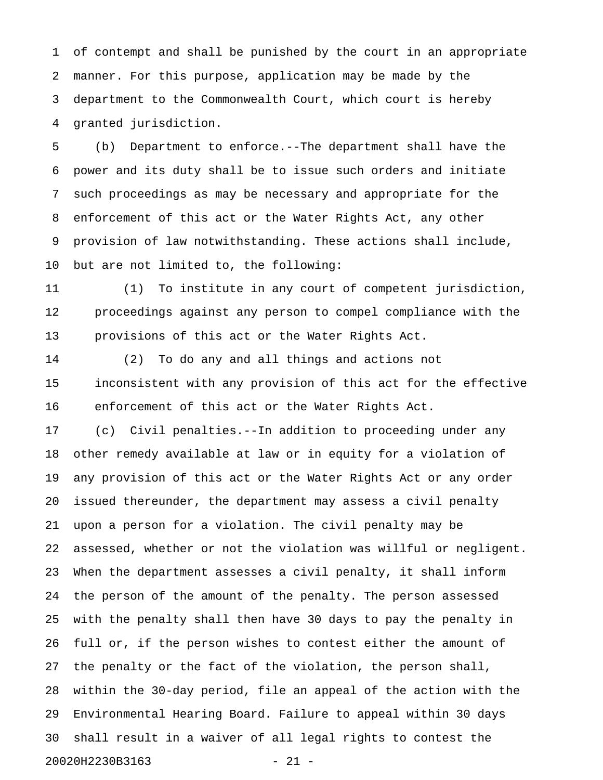1 of contempt and shall be punished by the court in an appropriate 2 manner. For this purpose, application may be made by the 3 department to the Commonwealth Court, which court is hereby 4 granted jurisdiction.

5 (b) Department to enforce.--The department shall have the 6 power and its duty shall be to issue such orders and initiate 7 such proceedings as may be necessary and appropriate for the 8 enforcement of this act or the Water Rights Act, any other 9 provision of law notwithstanding. These actions shall include, 10 but are not limited to, the following:

11 (1) To institute in any court of competent jurisdiction, 12 proceedings against any person to compel compliance with the 13 provisions of this act or the Water Rights Act.

14 (2) To do any and all things and actions not 15 inconsistent with any provision of this act for the effective 16 enforcement of this act or the Water Rights Act.

17 (c) Civil penalties.--In addition to proceeding under any 18 other remedy available at law or in equity for a violation of 19 any provision of this act or the Water Rights Act or any order 20 issued thereunder, the department may assess a civil penalty 21 upon a person for a violation. The civil penalty may be 22 assessed, whether or not the violation was willful or negligent. 23 When the department assesses a civil penalty, it shall inform 24 the person of the amount of the penalty. The person assessed 25 with the penalty shall then have 30 days to pay the penalty in 26 full or, if the person wishes to contest either the amount of 27 the penalty or the fact of the violation, the person shall, 28 within the 30-day period, file an appeal of the action with the 29 Environmental Hearing Board. Failure to appeal within 30 days 30 shall result in a waiver of all legal rights to contest the 20020H2230B3163 - 21 -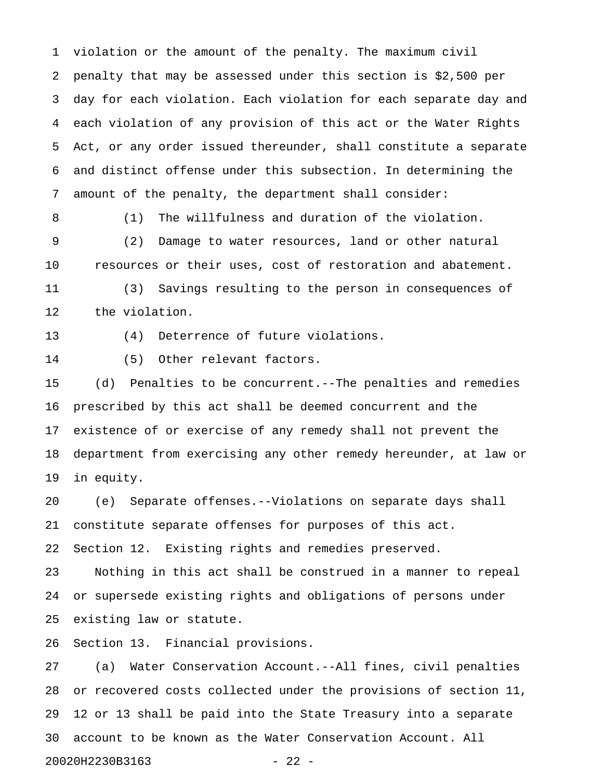1 violation or the amount of the penalty. The maximum civil 2 penalty that may be assessed under this section is \$2,500 per 3 day for each violation. Each violation for each separate day and 4 each violation of any provision of this act or the Water Rights 5 Act, or any order issued thereunder, shall constitute a separate 6 and distinct offense under this subsection. In determining the 7 amount of the penalty, the department shall consider:

8 (1) The willfulness and duration of the violation. 9 (2) Damage to water resources, land or other natural 10 resources or their uses, cost of restoration and abatement.

11 (3) Savings resulting to the person in consequences of 12 the violation.

13 (4) Deterrence of future violations.

14 (5) Other relevant factors.

15 (d) Penalties to be concurrent.--The penalties and remedies 16 prescribed by this act shall be deemed concurrent and the 17 existence of or exercise of any remedy shall not prevent the 18 department from exercising any other remedy hereunder, at law or 19 in equity.

20 (e) Separate offenses.--Violations on separate days shall 21 constitute separate offenses for purposes of this act.

22 Section 12. Existing rights and remedies preserved.

23 Nothing in this act shall be construed in a manner to repeal 24 or supersede existing rights and obligations of persons under 25 existing law or statute.

26 Section 13. Financial provisions.

27 (a) Water Conservation Account.--All fines, civil penalties 28 or recovered costs collected under the provisions of section 11, 29 12 or 13 shall be paid into the State Treasury into a separate 30 account to be known as the Water Conservation Account. All 20020H2230B3163 - 22 -